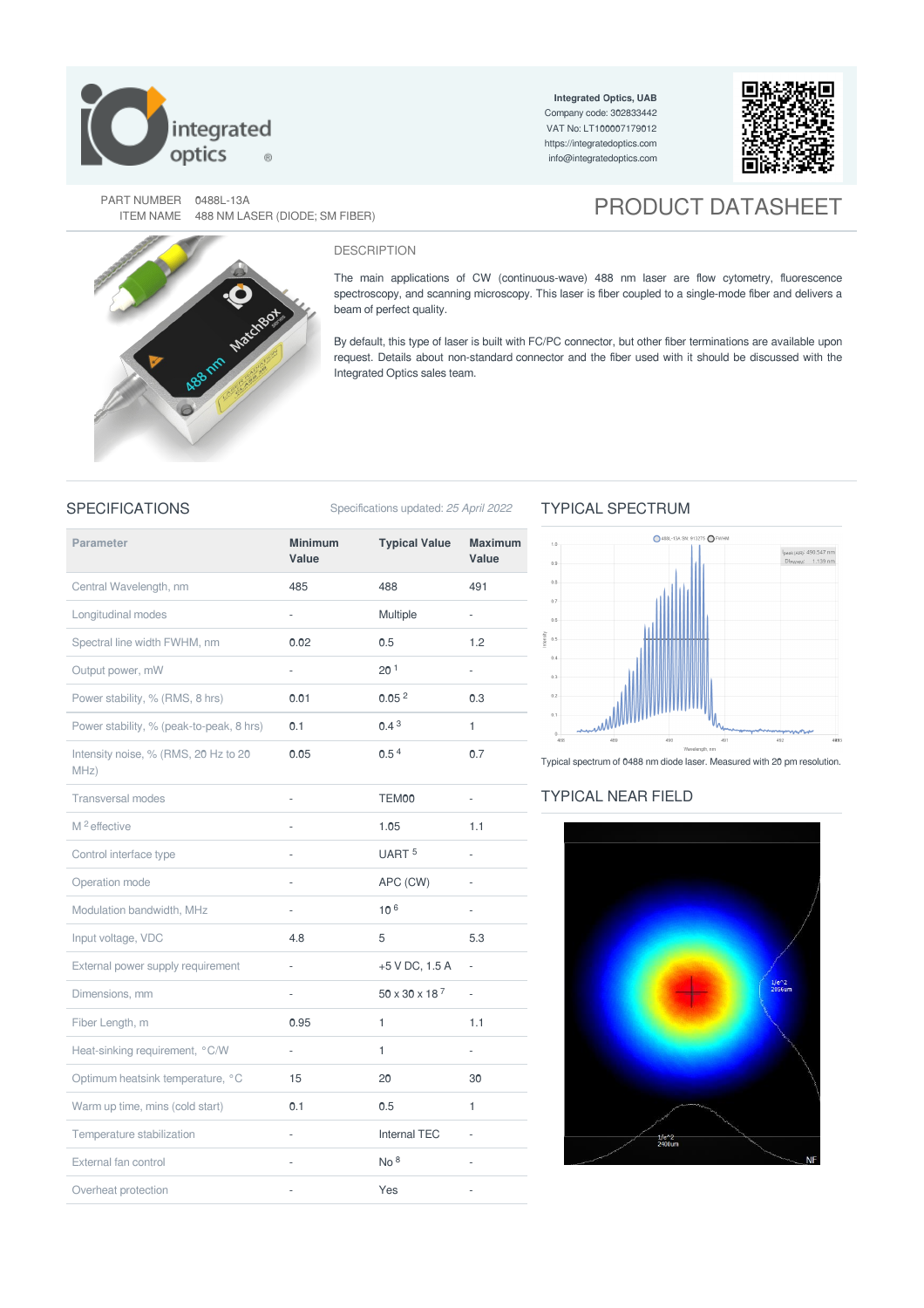

**Integrated Optics, UAB** Company code: 302833442 VAT No: LT100007179012 <https://integratedoptics.com> info@integratedoptics.com



PART NUMBER 0488L-13A<br>ITEM NAME 488 NM LASER (DIODE; SM FIBER)

# **PRODUCT DATASHEET**



#### DESCRIPTION

The main applications of CW (continuous-wave) 488 nm laser are flow cytometry, fluorescence spectroscopy, and scanning microscopy. This laser is fiber coupled to a single-mode fiber and delivers a beam of perfect quality.

By default, this type of laser is built with FC/PC connector, but other fiber terminations are available upon request. Details about non-standard connector and the fiber used with it should be discussed with the Integrated Optics sales team.

SPECIFICATIONS Specifications updated: 25 April 2022

## **Parameter Minimum Value Typical Value Maximum Value** Central Wavelength, nm 485 488 491 Longitudinal modes and the control of the Multiple of the Multiple of the Multiple Spectral line width FWHM, nm  $0.02$  0.5 1.2 Output power, mW - 20<sup>1</sup> Power stability, % (RMS, 8 hrs) 0.01 0.05<sup>2</sup> 0.3 Power stability, % (peak-to-peak, 8 hrs)  $0.1$  0.4 <sup>3</sup> 1 Intensity noise, % (RMS, 20 Hz to 20 MHz) 0.05 0.5<sup>4</sup> 0.7 Transversal modes **TEM00** - TEM00 - $M^2$  effective  $M^2$  effective  $M^2$  and  $M^2$  effective  $M$ . 1.1 Control interface type  $\overline{u}$  - UART 5 Operation mode **-** APC (CW) -Modulation bandwidth,  $MHz$   $10<sup>6</sup>$   $-$ Input voltage, VDC 6.3 External power supply requirement -  $+5$  V DC, 1.5 A -Dimensions, mm  $50 \times 30 \times 18^7$  -Fiber Length, m **0.95** 1 1.1 Heat-sinking requirement, °C/W - 1 Optimum heatsink temperature, °C 15 20 20 30 Warm up time, mins (cold start) **0.1** 0.5 1 Temperature stabilization Temperature stabilization and the state of the Internal TEC and TEC of the Internal TEC External fan control entre entre a control entre entre entre entre entre entre entre entre entre entre entre e Overheat protection and the set of the set of the SVes and the SVes of the SVEs and the SVEs and the SVEs of the SVEs and the SVEs and the SVEs and the SVEs and the SVEs and the SVEs and the SVEs and the SVEs and the SVEs  $20<sup>1</sup>$  $0.05<sup>2</sup>$  $0.4<sup>3</sup>$ UART<sup>5</sup> 106  $50 \times 30 \times 18$ <sup>7</sup>  $N_0$  8

# TYPICAL SPECTRUM



Typical spectrum of 0488 nm diode laser. Measured with 20 pm resolution.

### TYPICAL NEAR FIELD